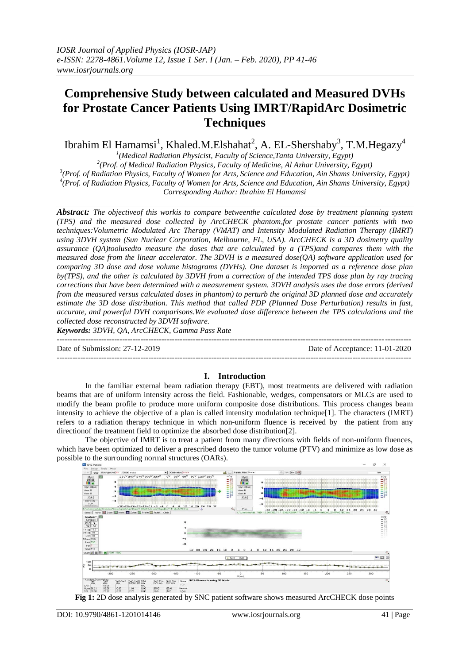# **Comprehensive Study between calculated and Measured DVHs for Prostate Cancer Patients Using IMRT/RapidArc Dosimetric Techniques**

Ibrahim El Hamamsi<sup>1</sup>, Khaled.M.Elshahat<sup>2</sup>, A. EL-Shershaby<sup>3</sup>, T.M.Hegazy<sup>4</sup>

 *(Medical Radiation Physicist, Faculty of Science,Tanta University, Egypt) (Prof. of Medical Radiation Physics, Faculty of Medicine, Al Azhar University, Egypt) (Prof. of Radiation Physics, Faculty of Women for Arts, Science and Education, Ain Shams University, Egypt) (Prof. of Radiation Physics, Faculty of Women for Arts, Science and Education, Ain Shams University, Egypt) Corresponding Author: Ibrahim El Hamamsi*

*Abstract: The objectiveof this workis to compare betweenthe calculated dose by treatment planning system (TPS) and the measured dose collected by ArcCHECK phantom,for prostate cancer patients with two techniques:Volumetric Modulated Arc Therapy (VMAT) and Intensity Modulated Radiation Therapy (IMRT) using 3DVH system (Sun Nuclear Corporation, Melbourne, FL, USA). ArcCHECK is a 3D dosimetry quality assurance (QA)toolusedto measure the doses that are calculated by a (TPS)and compares them with the measured dose from the linear accelerator. The 3DVH is a measured dose(QA) software application used for comparing 3D dose and dose volume histograms (DVHs). One dataset is imported as a reference dose plan by(TPS), and the other is calculated by 3DVH from a correction of the intended TPS dose plan by ray tracing corrections that have been determined with a measurement system. 3DVH analysis uses the dose errors (derived from the measured versus calculated doses in phantom) to perturb the original 3D planned dose and accurately estimate the 3D dose distribution. This method that called PDP (Planned Dose Perturbation) results in fast, accurate, and powerful DVH comparisons.We evaluated dose difference between the TPS calculations and the collected dose reconstructed by 3DVH software.*

*Keywords: 3DVH, QA, ArcCHECK, Gamma Pass Rate* ---------------------------------------------------------------------------------------------------------------------------------------

Date of Submission: 27-12-2019 Date of Acceptance: 11-01-2020

# **I. Introduction**

---------------------------------------------------------------------------------------------------------------------------------------

In the familiar external beam radiation therapy (EBT), most treatments are delivered with radiation beams that are of uniform intensity across the field. Fashionable, wedges, compensators or MLCs are used to modify the beam profile to produce more uniform composite dose distributions. This process changes beam intensity to achieve the objective of a plan is called intensity modulation technique[1]. The characters (IMRT) refers to a radiation therapy technique in which non-uniform fluence is received by the patient from any directionof the treatment field to optimize the absorbed dose distribution[2].

The objective of IMRT is to treat a patient from many directions with fields of non-uniform fluences, which have been optimized to deliver a prescribed doseto the tumor volume (PTV) and minimize as low dose as possible to the surrounding normal structures (OARs).



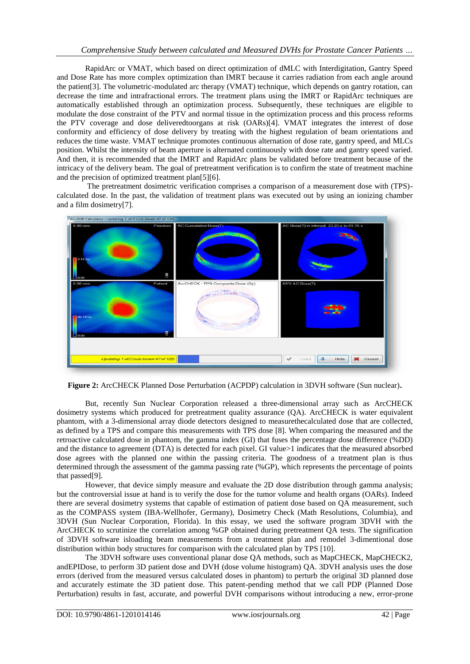RapidArc or VMAT, which based on direct optimization of dMLC with Interdigitation, Gantry Speed and Dose Rate has more complex optimization than IMRT because it carries radiation from each angle around the patient[3]. The volumetric-modulated arc therapy (VMAT) technique, which depends on gantry rotation, can decrease the time and intrafractional errors. The treatment plans using the IMRT or RapidArc techniques are automatically established through an optimization process. Subsequently, these techniques are eligible to modulate the dose constraint of the PTV and normal tissue in the optimization process and this process reforms the PTV coverage and dose deliveredtoorgans at risk (OARs)[4]. VMAT integrates the interest of dose conformity and efficiency of dose delivery by treating with the highest regulation of beam orientations and reduces the time waste. VMAT technique promotes continuous alternation of dose rate, gantry speed, and MLCs position. Whilst the intensity of beam aperture is alternated continuously with dose rate and gantry speed varied. And then, it is recommended that the IMRT and RapidArc plans be validated before treatment because of the intricacy of the delivery beam. The goal of pretreatment verification is to confirm the state of treatment machine and the precision of optimized treatment plan[5][6].

The pretreatment dosimetric verification comprises a comparison of a measurement dose with (TPS) calculated dose. In the past, the validation of treatment plans was executed out by using an ionizing chamber and a film dosimetry[7].



**Figure 2:** ArcCHECK Planned Dose Perturbation (ACPDP) calculation in 3DVH software (Sun nuclear)**.**

But, recently Sun Nuclear Corporation released a three-dimensional array such as ArcCHECK dosimetry systems which produced for pretreatment quality assurance (QA). ArcCHECK is water equivalent phantom, with a 3-dimensional array diode detectors designed to measurethecalculated dose that are collected, as defined by a TPS and compare this measurements with TPS dose [8]. When comparing the measured and the retroactive calculated dose in phantom, the gamma index (GI) that fuses the percentage dose difference (%DD) and the distance to agreement (DTA) is detected for each pixel. GI value>1 indicates that the measured absorbed dose agrees with the planned one within the passing criteria. The goodness of a treatment plan is thus determined through the assessment of the gamma passing rate (%GP), which represents the percentage of points that passed[9].

However, that device simply measure and evaluate the 2D dose distribution through gamma analysis; but the controversial issue at hand is to verify the dose for the tumor volume and health organs (OARs). Indeed there are several dosimetry systems that capable of estimation of patient dose based on QA measurement, such as the COMPASS system (IBA-Wellhofer, Germany), Dosimetry Check (Math Resolutions, Columbia), and 3DVH (Sun Nuclear Corporation, Florida). In this essay, we used the software program 3DVH with the ArcCHECK to scrutinize the correlation among %GP obtained during pretreatment QA tests. The signification of 3DVH software isloading beam measurements from a treatment plan and remodel 3-dimentional dose distribution within body structures for comparison with the calculated plan by TPS [10].

The 3DVH software uses conventional planar dose QA methods, such as MapCHECK, MapCHECK2, andEPIDose, to perform 3D patient dose and DVH (dose volume histogram) QA. 3DVH analysis uses the dose errors (derived from the measured versus calculated doses in phantom) to perturb the original 3D planned dose and accurately estimate the 3D patient dose. This patent-pending method that we call PDP (Planned Dose Perturbation) results in fast, accurate, and powerful DVH comparisons without introducing a new, error-prone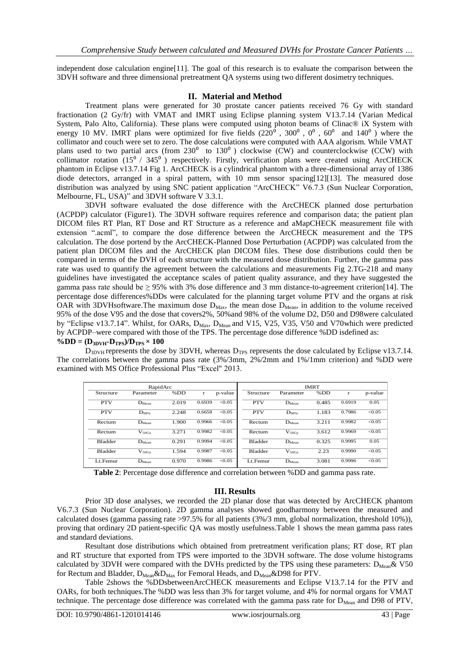independent dose calculation engine[11]. The goal of this research is to evaluate the comparison between the 3DVH software and three dimensional pretreatment QA systems using two different dosimetry techniques.

#### **II. Material and Method**

Treatment plans were generated for 30 prostate cancer patients received 76 Gy with standard fractionation (2 Gy/fr) with VMAT and IMRT using Eclipse planning system V13.7.14 (Varian Medical System, Palo Alto, California). These plans were computed using photon beams of Clinac® iX System with energy 10 MV. IMRT plans were optimized for five fields  $(220^6, 300^0, 0^0, 60^0, 60^0)$  and  $(140^0)$  where the collimator and couch were set to zero. The dose calculations were computed with AAA algorism. While VMAT plans used to two partial arcs (from  $230^{\circ}$  to  $130^{\circ}$ ) clockwise (CW) and counterclockwise (CCW) with collimator rotation  $(15^{\circ}$  / 345 $^{\circ}$ ) respectively. Firstly, verification plans were created using ArcCHECK phantom in Eclipse v13.7.14 Fig 1. ArcCHECK is a cylindrical phantom with a three-dimensional array of 1386 diode detectors, arranged in a spiral pattern, with 10 mm sensor spacing[12][13]. The measured dose distribution was analyzed by using SNC patient application "ArcCHECK" V6.7.3 (Sun Nuclear Corporation, Melbourne, FL, USA)" and 3DVH software V 3.3.1.

3DVH software evaluated the dose difference with the ArcCHECK planned dose perturbation (ACPDP) calculator (Figure1). The 3DVH software requires reference and comparison data; the patient plan DICOM files RT Plan, RT Dose and RT Structure as a reference and aMapCHECK measurement file with extension ".acml", to compare the dose difference between the ArcCHECK measurement and the TPS calculation. The dose portend by the ArcCHECK-Planned Dose Perturbation (ACPDP) was calculated from the patient plan DICOM files and the ArcCHECK plan DICOM files. These dose distributions could then be compared in terms of the DVH of each structure with the measured dose distribution. Further, the gamma pass rate was used to quantify the agreement between the calculations and measurements Fig 2.TG-218 and many guidelines have investigated the acceptance scales of patient quality assurance, and they have suggested the gamma pass rate should be  $\geq$  95% with 3% dose difference and 3 mm distance-to-agreement criterion [14]. The percentage dose differences%DDs were calculated for the planning target volume PTV and the organs at risk OAR with 3DVHsoftware. The maximum dose  $D_{Max}$ , the mean dose  $D_{Mean}$ , in addition to the volume received 95% of the dose V95 and the dose that covers2%, 50%and 98% of the volume D2, D50 and D98were calculated by "Eclipse v13.7.14". Whilst, for OARs, D<sub>Max</sub>, D<sub>Mean</sub> and V15, V25, V35, V50 and V70which were predicted by ACPDP–were compared with those of the TPS. The percentage dose difference %DD isdefined as:  $\%DD = (D_{3DVH} - D_{TPS})/D_{TPS} \times 100$ 

 $D_{3DVH}$  represents the dose by 3DVH, whereas  $D_{TPS}$  represents the dose calculated by Eclipse v13.7.14. The correlations between the gamma pass rate (3%/3mm, 2%/2mm and 1%/1mm criterion) and %DD were examined with MS Office Professional Plus "Excel" 2013.

| RapidArc       |                   |       |        |         | <b>IMRT</b>    |                   |       |        |         |
|----------------|-------------------|-------|--------|---------|----------------|-------------------|-------|--------|---------|
| Structure      | Parameter         | %DD   | r      | p-value | Structure      | Parameter         | %DD   | r      | p-value |
| <b>PTV</b>     | $D_{Mean}$        | 2.019 | 0.6939 | < 0.05  | <b>PTV</b>     | $D_{Mean}$        | 0.485 | 0.6919 | 0.05    |
| <b>PTV</b>     | $D_{98%}$         | 2.248 | 0.6658 | < 0.05  | <b>PTV</b>     | $D_{98%}$         | 1.183 | 0.7986 | < 0.05  |
| Rectum         | $D_{Mean}$        | 1.900 | 0.9966 | < 0.05  | Rectum         | $D_{Mean}$        | 3.211 | 0.9982 | < 0.05  |
| Rectum         | $V_{50}$ Gv       | 3.271 | 0.9982 | < 0.05  | Rectum         | $V_{50}\text{Gv}$ | 3.612 | 0.9969 | < 0.05  |
| <b>Bladder</b> | $D_{Mean}$        | 0.291 | 0.9994 | < 0.05  | <b>Bladder</b> | $D_{Mean}$        | 0.325 | 0.9995 | 0.05    |
| <b>Bladder</b> | $V_{50\text{Gv}}$ | 1.594 | 0.9987 | < 0.05  | <b>Bladder</b> | $V_{50\text{Gv}}$ | 2.23  | 0.9990 | < 0.05  |
| Lt.Femur       | $D_{Mean}$        | 0.970 | 0.9986 | < 0.05  | Lt.Femur       | $D_{Mean}$        | 3.081 | 0.9996 | < 0.05  |

Table 2: Percentage dose difference and correlation between %DD and gamma pass rate.

# **III. Results**

Prior 3D dose analyses, we recorded the 2D planar dose that was detected by ArcCHECK phantom V6.7.3 (Sun Nuclear Corporation). 2D gamma analyses showed goodharmony between the measured and calculated doses (gamma passing rate >97.5% for all patients (3%/3 mm, global normalization, threshold 10%)), proving that ordinary 2D patient-specific QA was mostly usefulness.Table 1 shows the mean gamma pass rates and standard deviations.

Resultant dose distributions which obtained from pretreatment verification plans; RT dose, RT plan and RT structure that exported from TPS were imported to the 3DVH software. The dose volume histograms calculated by 3DVH were compared with the DVHs predicted by the TPS using these parameters:  $D_{Mean} & V50$ for Rectum and Bladder,  $D_{Mean} & D_{Max}$  for Femoral Heads, and  $D_{Mean} & D98$  for PTV.

Table 2shows the %DDsbetweenArcCHECK measurements and Eclipse V13.7.14 for the PTV and OARs, for both techniques.The %DD was less than 3% for target volume, and 4% for normal organs for VMAT technique. The percentage dose difference was correlated with the gamma pass rate for  $D_{Mean}$  and D98 of PTV,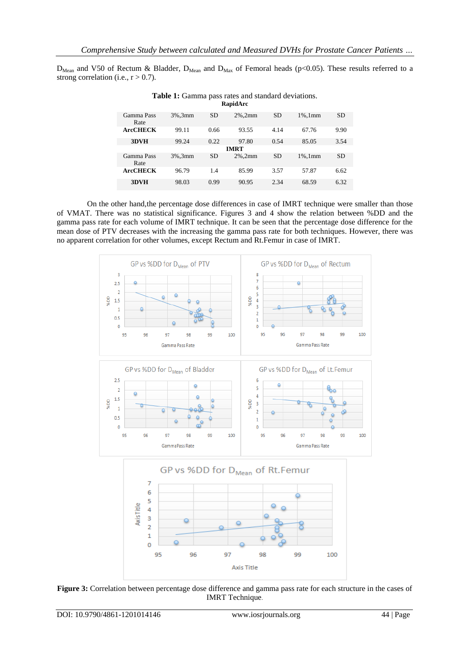$D_{Mean}$  and V50 of Rectum & Bladder,  $D_{Mean}$  and  $D_{Max}$  of Femoral heads (p<0.05). These results referred to a strong correlation (i.e.,  $r > 0.7$ ).

| RapidArc           |            |           |            |           |            |           |  |  |  |  |  |  |  |
|--------------------|------------|-----------|------------|-----------|------------|-----------|--|--|--|--|--|--|--|
| Gamma Pass<br>Rate | $3\%$ .3mm | <b>SD</b> | $2\%$ .2mm | <b>SD</b> | $1\%$ .1mm | <b>SD</b> |  |  |  |  |  |  |  |
| <b>ArcCHECK</b>    | 99.11      | 0.66      | 93.55      | 4.14      | 67.76      | 9.90      |  |  |  |  |  |  |  |
| 3DVH               | 99.24      | 0.22      | 97.80      | 0.54      | 85.05      | 3.54      |  |  |  |  |  |  |  |
| <b>IMRT</b>        |            |           |            |           |            |           |  |  |  |  |  |  |  |
| Gamma Pass<br>Rate | 3%.3mm     | <b>SD</b> | $2\%$ .2mm | <b>SD</b> | $1\%$ .1mm | <b>SD</b> |  |  |  |  |  |  |  |
| <b>ArcCHECK</b>    | 96.79      | 1.4       | 85.99      | 3.57      | 57.87      | 6.62      |  |  |  |  |  |  |  |
| 3DVH               | 98.03      | 0.99      | 90.95      | 2.34      | 68.59      | 6.32      |  |  |  |  |  |  |  |

**Table 1:** Gamma pass rates and standard deviations. **RapidArc**

On the other hand,the percentage dose differences in case of IMRT technique were smaller than those of VMAT. There was no statistical significance. Figures 3 and 4 show the relation between %DD and the gamma pass rate for each volume of IMRT technique. It can be seen that the percentage dose difference for the mean dose of PTV decreases with the increasing the gamma pass rate for both techniques. However, there was no apparent correlation for other volumes, except Rectum and Rt.Femur in case of IMRT.



**Figure 3:** Correlation between percentage dose difference and gamma pass rate for each structure in the cases of IMRT Technique.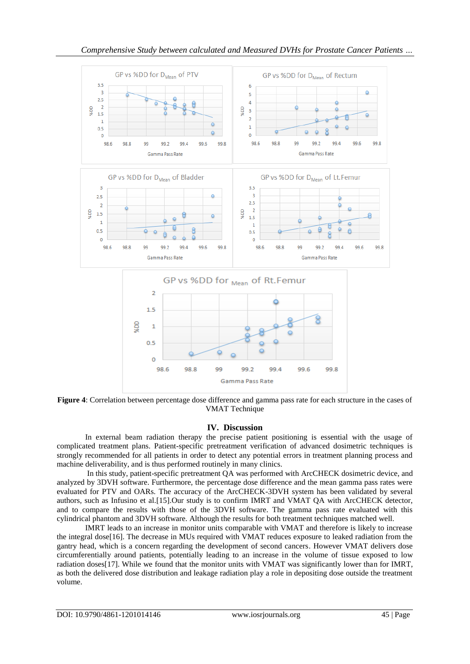

**Figure 4**: Correlation between percentage dose difference and gamma pass rate for each structure in the cases of VMAT Technique

# **IV. Discussion**

In external beam radiation therapy the precise patient positioning is essential with the usage of complicated treatment plans. Patient-specific pretreatment verification of advanced dosimetric techniques is strongly recommended for all patients in order to detect any potential errors in treatment planning process and machine deliverability, and is thus performed routinely in many clinics.

In this study, patient-specific pretreatment QA was performed with ArcCHECK dosimetric device, and analyzed by 3DVH software. Furthermore, the percentage dose difference and the mean gamma pass rates were evaluated for PTV and OARs. The accuracy of the ArcCHECK-3DVH system has been validated by several authors, such as Infusino et al.[15].Our study is to confirm IMRT and VMAT QA with ArcCHECK detector, and to compare the results with those of the 3DVH software. The gamma pass rate evaluated with this cylindrical phantom and 3DVH software. Although the results for both treatment techniques matched well.

IMRT leads to an increase in monitor units comparable with VMAT and therefore is likely to increase the integral dose[16]. The decrease in MUs required with VMAT reduces exposure to leaked radiation from the gantry head, which is a concern regarding the development of second cancers. However VMAT delivers dose circumferentially around patients, potentially leading to an increase in the volume of tissue exposed to low radiation doses[17]. While we found that the monitor units with VMAT was significantly lower than for IMRT, as both the delivered dose distribution and leakage radiation play a role in depositing dose outside the treatment volume.